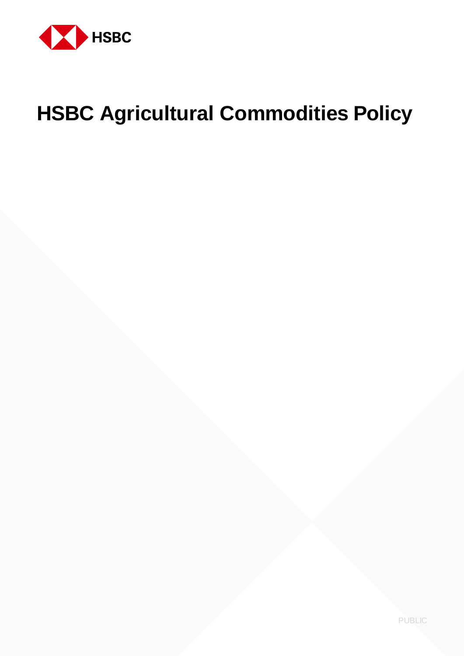

# **HSBC Agricultural Commodities Policy**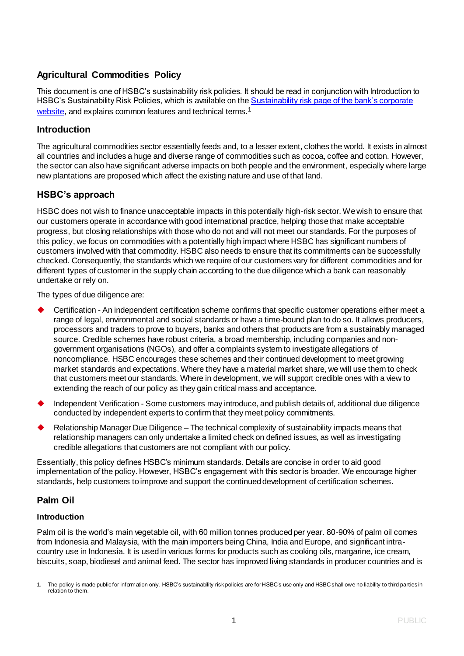# **Agricultural Commodities Policy**

This document is one of HSBC's sustainability risk policies. It should be read in conjunction with Introduction to HSBC's Sustainability Risk Policies, which is available on the Sustainability risk page of the bank's corporate [website,](https://www.hsbc.com/our-approach/risk-and-responsibility/sustainability-risk) and explains common features and technical terms.<sup>1</sup>

# **Introduction**

The agricultural commodities sector essentially feeds and, to a lesser extent, clothes the world. It exists in almost all countries and includes a huge and diverse range of commodities such as cocoa, coffee and cotton. However, the sector can also have significant adverse impacts on both people and the environment, especially where large new plantations are proposed which affect the existing nature and use of that land.

# **HSBC's approach**

HSBC does not wish to finance unacceptable impacts in this potentially high-risk sector. We wish to ensure that our customers operate in accordance with good international practice, helping those that make acceptable progress, but closing relationships with those who do not and will not meet our standards. For the purposes of this policy, we focus on commodities with a potentially high impact where HSBC has significant numbers of customers involved with that commodity. HSBC also needs to ensure that its commitments can be successfully checked. Consequently, the standards which we require of our customers vary for different commodities and for different types of customer in the supply chain according to the due diligence which a bank can reasonably undertake or rely on.

The types of due diligence are:

- Certification An independent certification scheme confirms that specific customer operations either meet a range of legal, environmental and social standards or have a time-bound plan to do so. It allows producers, processors and traders to prove to buyers, banks and others that products are from a sustainably managed source. Credible schemes have robust criteria, a broad membership, including companies and nongovernment organisations (NGOs), and offer a complaints system to investigate allegations of noncompliance. HSBC encourages these schemes and their continued development to meet growing market standards and expectations. Where they have a material market share, we will use them to check that customers meet our standards. Where in development, we will support credible ones with a view to extending the reach of our policy as they gain critical mass and acceptance.
- Independent Verification Some customers may introduce, and publish details of, additional due diligence conducted by independent experts to confirm that they meet policy commitments.
- Relationship Manager Due Diligence The technical complexity of sustainability impacts means that relationship managers can only undertake a limited check on defined issues, as well as investigating credible allegations that customers are not compliant with our policy.

Essentially, this policy defines HSBC's minimum standards. Details are concise in order to aid good implementation of the policy. However, HSBC's engagement with this sector is broader. We encourage higher standards, help customers to improve and support the continued development of certification schemes.

# **Palm Oil**

# **Introduction**

Palm oil is the world's main vegetable oil, with 60 million tonnes produced per year. 80-90% of palm oil comes from Indonesia and Malaysia, with the main importers being China, India and Europe, and significant intracountry use in Indonesia. It is used in various forms for products such as cooking oils, margarine, ice cream, biscuits, soap, biodiesel and animal feed. The sector has improved living standards in producer countries and is

<sup>1.</sup> The policy is made public for information only. HSBC's sustainability risk policies are for HSBC's use only and HSBC shall owe no liability to third parties in relation to them.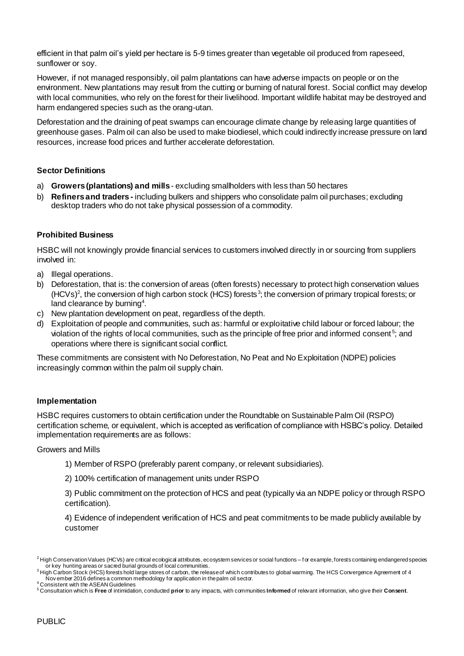efficient in that palm oil's yield per hectare is 5-9 times greater than vegetable oil produced from rapeseed, sunflower or soy.

However, if not managed responsibly, oil palm plantations can have adverse impacts on people or on the environment. New plantations may result from the cutting or burning of natural forest. Social conflict may develop with local communities, who rely on the forest for their livelihood. Important wildlife habitat may be destroyed and harm endangered species such as the orang-utan.

Deforestation and the draining of peat swamps can encourage climate change by releasing large quantities of greenhouse gases. Palm oil can also be used to make biodiesel, which could indirectly increase pressure on land resources, increase food prices and further accelerate deforestation.

#### **Sector Definitions**

- a) **Growers (plantations) and mills** excluding smallholders with less than 50 hectares
- b) **Refiners and traders -** including bulkers and shippers who consolidate palm oil purchases; excluding desktop traders who do not take physical possession of a commodity.

## **Prohibited Business**

HSBC will not knowingly provide financial services to customers involved directly in or sourcing from suppliers involved in:

- a) Illegal operations.
- b) Deforestation, that is: the conversion of areas (often forests) necessary to protect high conservation values (HCVs)<sup>2</sup>, the conversion of high carbon stock (HCS) forests<sup>3</sup>; the conversion of primary tropical forests; or land clearance by burning<sup>4</sup>.
- c) New plantation development on peat, regardless of the depth.
- d) Exploitation of people and communities, such as: harmful or exploitative child labour or forced labour; the violation of the rights of local communities, such as the principle of free prior and informed consent<sup>5</sup>; and operations where there is significant social conflict.

These commitments are consistent with No Deforestation, No Peat and No Exploitation (NDPE) policies increasingly common within the palm oil supply chain.

#### **Implementation**

HSBC requires customers to obtain certification under the Roundtable on Sustainable Palm Oil (RSPO) certification scheme, or equivalent, which is accepted as verification of compliance with HSBC's policy. Detailed implementation requirements are as follows:

#### Growers and Mills

- 1) Member of RSPO (preferably parent company, or relevant subsidiaries).
- 2) 100% certification of management units under RSPO

3) Public commitment on the protection of HCS and peat (typically via an NDPE policy or through RSPO certification).

4) Evidence of independent verification of HCS and peat commitments to be made publicly available by customer

 $^2$  High Conservation Values (HCVs) are critical ecological attributes, ecosystem services or social functions – for example, forests containing endangered species or key hunting areas or sacred burial grounds of local communities.

 $^3$ High Carbon Stock (HCS) forests hold large stores of carbon, the release of which contributes to global warming. The HCS Convergence Agreement of 4  $\,$ Nov ember 2016 defines a common methodology for application in the palm oil sector. <sup>4</sup> Consistent with the ASEAN Guidelines

<sup>5</sup> Consultation which is **Free** of intimidation, conducted **prior** to any impacts, with communities **Informed** of relevant information, who give their **Consent**.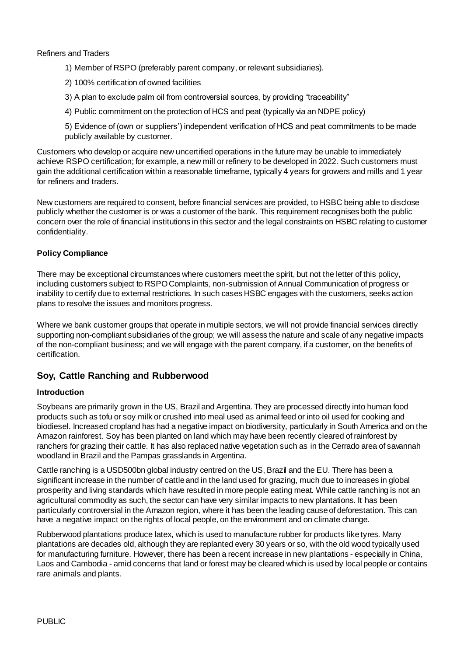#### Refiners and Traders

- 1) Member of RSPO (preferably parent company, or relevant subsidiaries).
- 2) 100% certification of owned facilities
- 3) A plan to exclude palm oil from controversial sources, by providing "traceability"
- 4) Public commitment on the protection of HCS and peat (typically via an NDPE policy)
- 5) Evidence of (own or suppliers') independent verification of HCS and peat commitments to be made publicly available by customer.

Customers who develop or acquire new uncertified operations in the future may be unable to immediately achieve RSPO certification; for example, a new mill or refinery to be developed in 2022. Such customers must gain the additional certification within a reasonable timeframe, typically 4 years for growers and mills and 1 year for refiners and traders.

New customers are required to consent, before financial services are provided, to HSBC being able to disclose publicly whether the customer is or was a customer of the bank. This requirement recognises both the public concern over the role of financial institutions in this sector and the legal constraints on HSBC relating to customer confidentiality.

## **Policy Compliance**

There may be exceptional circumstances where customers meet the spirit, but not the letter of this policy, including customers subject to RSPO Complaints, non-submission of Annual Communication of progress or inability to certify due to external restrictions. In such cases HSBC engages with the customers, seeks action plans to resolve the issues and monitors progress.

Where we bank customer groups that operate in multiple sectors, we will not provide financial services directly supporting non-compliant subsidiaries of the group; we will assess the nature and scale of any negative impacts of the non-compliant business; and we will engage with the parent company, if a customer, on the benefits of certification.

# **Soy, Cattle Ranching and Rubberwood**

# **Introduction**

Soybeans are primarily grown in the US, Brazil and Argentina. They are processed directly into human food products such as tofu or soy milk or crushed into meal used as animal feed or into oil used for cooking and biodiesel. Increased cropland has had a negative impact on biodiversity, particularly in South America and on the Amazon rainforest. Soy has been planted on land which may have been recently cleared of rainforest by ranchers for grazing their cattle. It has also replaced native vegetation such as in the Cerrado area of savannah woodland in Brazil and the Pampas grasslands in Argentina.

Cattle ranching is a USD500bn global industry centred on the US, Brazil and the EU. There has been a significant increase in the number of cattle and in the land used for grazing, much due to increases in global prosperity and living standards which have resulted in more people eating meat. While cattle ranching is not an agricultural commodity as such, the sector can have very similar impacts to new plantations. It has been particularly controversial in the Amazon region, where it has been the leading cause of deforestation. This can have a negative impact on the rights of local people, on the environment and on climate change.

Rubberwood plantations produce latex, which is used to manufacture rubber for products like tyres. Many plantations are decades old, although they are replanted every 30 years or so, with the old wood typically used for manufacturing furniture. However, there has been a recent increase in new plantations - especially in China, Laos and Cambodia - amid concerns that land or forest may be cleared which is used by local people or contains rare animals and plants.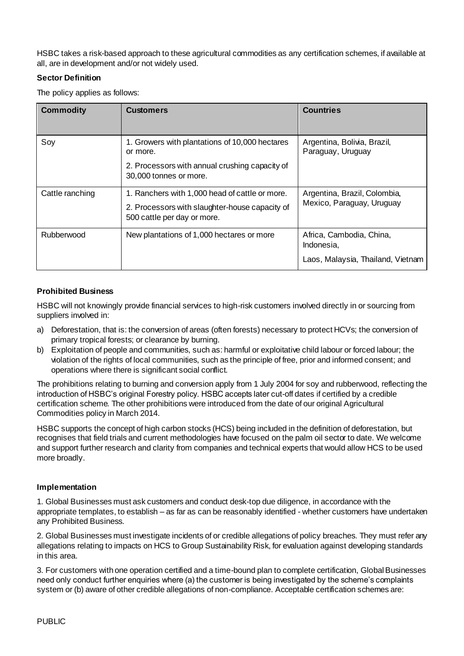HSBC takes a risk-based approach to these agricultural commodities as any certification schemes, if available at all, are in development and/or not widely used.

# **Sector Definition**

The policy applies as follows:

| <b>Commodity</b> | <b>Customers</b>                                                                                                                       | <b>Countries</b>                                                            |
|------------------|----------------------------------------------------------------------------------------------------------------------------------------|-----------------------------------------------------------------------------|
| Soy              | 1. Growers with plantations of 10,000 hectares<br>or more.<br>2. Processors with annual crushing capacity of<br>30,000 tonnes or more. | Argentina, Bolivia, Brazil,<br>Paraguay, Uruguay                            |
| Cattle ranching  | 1. Ranchers with 1,000 head of cattle or more.<br>2. Processors with slaughter-house capacity of<br>500 cattle per day or more.        | Argentina, Brazil, Colombia,<br>Mexico, Paraguay, Uruguay                   |
| Rubberwood       | New plantations of 1,000 hectares or more                                                                                              | Africa, Cambodia, China,<br>Indonesia,<br>Laos, Malaysia, Thailand, Vietnam |

# **Prohibited Business**

HSBC will not knowingly provide financial services to high-risk customers involved directly in or sourcing from suppliers involved in:

- a) Deforestation, that is: the conversion of areas (often forests) necessary to protect HCVs; the conversion of primary tropical forests; or clearance by burning.
- b) Exploitation of people and communities, such as: harmful or exploitative child labour or forced labour; the violation of the rights of local communities, such as the principle of free, prior and informed consent; and operations where there is significant social conflict.

The prohibitions relating to burning and conversion apply from 1 July 2004 for soy and rubberwood, reflecting the introduction of HSBC's original Forestry policy. HSBC accepts later cut-off dates if certified by a credible certification scheme. The other prohibitions were introduced from the date of our original Agricultural Commodities policy in March 2014.

HSBC supports the concept of high carbon stocks (HCS) being included in the definition of deforestation, but recognises that field trials and current methodologies have focused on the palm oil sector to date. We welcome and support further research and clarity from companies and technical experts that would allow HCS to be used more broadly.

# **Implementation**

1. Global Businesses must ask customers and conduct desk-top due diligence, in accordance with the appropriate templates, to establish – as far as can be reasonably identified - whether customers have undertaken any Prohibited Business.

2. Global Businesses must investigate incidents of or credible allegations of policy breaches. They must refer any allegations relating to impacts on HCS to Group Sustainability Risk, for evaluation against developing standards in this area.

3. For customers with one operation certified and a time-bound plan to complete certification, Global Businesses need only conduct further enquiries where (a) the customer is being investigated by the scheme's complaints system or (b) aware of other credible allegations of non-compliance. Acceptable certification schemes are: